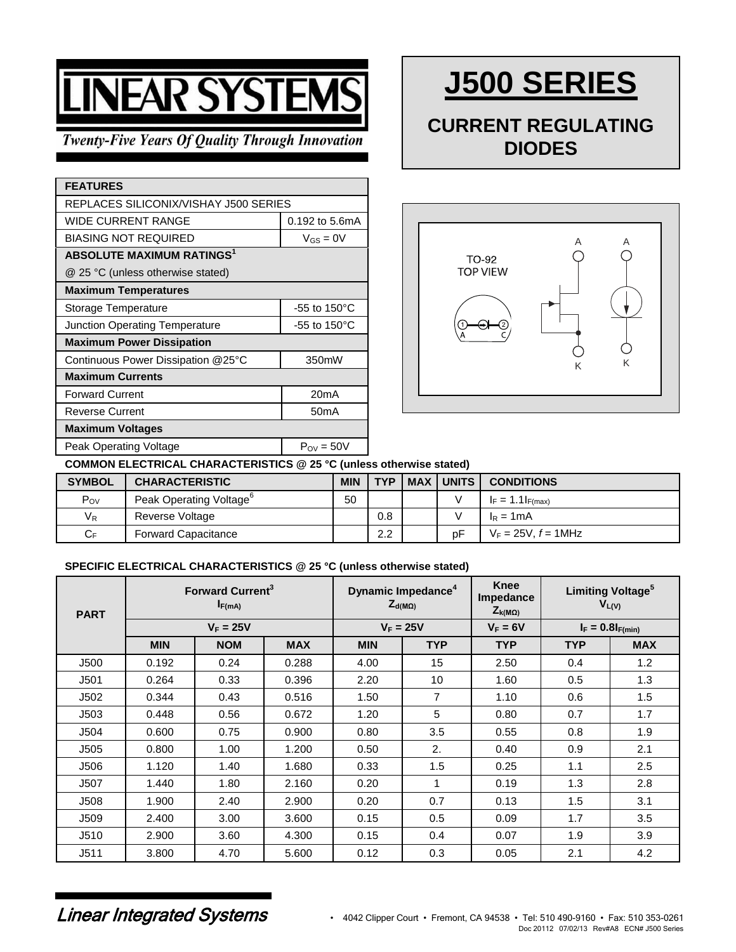# *NEAR SYSTEN*

#### **Twenty-Five Years Of Quality Through Innovation**

| <b>FEATURES</b>                       |                           |  |  |  |  |  |  |
|---------------------------------------|---------------------------|--|--|--|--|--|--|
| REPLACES SILICONIX/VISHAY J500 SERIES |                           |  |  |  |  |  |  |
| <b>WIDE CURRENT RANGE</b>             | $0.192$ to 5.6mA          |  |  |  |  |  |  |
| <b>BIASING NOT REQUIRED</b>           | $V_{GS} = 0V$             |  |  |  |  |  |  |
| <b>ABSOLUTE MAXIMUM RATINGS1</b>      |                           |  |  |  |  |  |  |
| @ 25 °C (unless otherwise stated)     |                           |  |  |  |  |  |  |
| <b>Maximum Temperatures</b>           |                           |  |  |  |  |  |  |
| Storage Temperature                   | -55 to 150 $^{\circ}$ C   |  |  |  |  |  |  |
| Junction Operating Temperature        | $-55$ to 150 $^{\circ}$ C |  |  |  |  |  |  |
| <b>Maximum Power Dissipation</b>      |                           |  |  |  |  |  |  |
| Continuous Power Dissipation @25°C    | 350mW                     |  |  |  |  |  |  |
| <b>Maximum Currents</b>               |                           |  |  |  |  |  |  |
| <b>Forward Current</b>                | 20mA                      |  |  |  |  |  |  |
| <b>Reverse Current</b>                | 50 <sub>m</sub> A         |  |  |  |  |  |  |
| <b>Maximum Voltages</b>               |                           |  |  |  |  |  |  |
| Peak Operating Voltage                | $P_{\text{OV}} = 50V$     |  |  |  |  |  |  |

# **J500 SERIES**

## **CURRENT REGULATING DIODES**



#### **COMMON ELECTRICAL CHARACTERISTICS @ 25 °C (unless otherwise stated)**

| <b>SYMBOL</b>    | <b>CHARACTERISTIC</b>               | <b>MIN</b> | <b>TYP</b> | <b>MAX   UNITS  </b> | <b>CONDITIONS</b>        |
|------------------|-------------------------------------|------------|------------|----------------------|--------------------------|
| $P_{OV}$         | Peak Operating Voltage <sup>6</sup> | 50         |            | $\vee$               | $I_F = 1.1I_{F(max)}$    |
| $V_R$            | Reverse Voltage                     |            | 0.8        | $\vee$               | $I_R = 1mA$              |
| $C_{\mathsf{F}}$ | <b>Forward Capacitance</b>          |            | 2.2        | рF                   | $V_F = 25V$ , $f = 1MHz$ |

#### **SPECIFIC ELECTRICAL CHARACTERISTICS @ 25 °C (unless otherwise stated)**

| <b>PART</b> | <b>Forward Current<sup>3</sup></b><br>$I_{F(mA)}$ |            |            |             | Dynamic Impedance <sup>4</sup><br>$Z_{d(M\Omega)}$ | Knee<br>Impedance<br>$Z_{k(M\Omega)}$ | Limiting Voltage <sup>5</sup><br>$V_{L(V)}$ |            |
|-------------|---------------------------------------------------|------------|------------|-------------|----------------------------------------------------|---------------------------------------|---------------------------------------------|------------|
|             | $V_F = 25V$                                       |            |            | $V_F = 25V$ |                                                    | $V_F = 6V$                            | $I_F = 0.8I_{F(min)}$                       |            |
|             | <b>MIN</b>                                        | <b>NOM</b> | <b>MAX</b> | <b>MIN</b>  | <b>TYP</b>                                         | <b>TYP</b>                            | <b>TYP</b>                                  | <b>MAX</b> |
| J500        | 0.192                                             | 0.24       | 0.288      | 4.00        | 15                                                 | 2.50                                  | 0.4                                         | 1.2        |
| J501        | 0.264                                             | 0.33       | 0.396      | 2.20        | 10 <sup>1</sup>                                    | 1.60                                  | 0.5                                         | 1.3        |
| J502        | 0.344                                             | 0.43       | 0.516      | 1.50        | 7                                                  | 1.10                                  | 0.6                                         | 1.5        |
| J503        | 0.448                                             | 0.56       | 0.672      | 1.20        | 5                                                  | 0.80                                  | 0.7                                         | 1.7        |
| J504        | 0.600                                             | 0.75       | 0.900      | 0.80        | 3.5                                                | 0.55                                  | 0.8                                         | 1.9        |
| J505        | 0.800                                             | 1.00       | 1.200      | 0.50        | 2.                                                 | 0.40                                  | 0.9                                         | 2.1        |
| J506        | 1.120                                             | 1.40       | 1.680      | 0.33        | 1.5                                                | 0.25                                  | 1.1                                         | 2.5        |
| J507        | 1.440                                             | 1.80       | 2.160      | 0.20        | 1                                                  | 0.19                                  | 1.3                                         | 2.8        |
| J508        | 1.900                                             | 2.40       | 2.900      | 0.20        | 0.7                                                | 0.13                                  | 1.5                                         | 3.1        |
| J509        | 2.400                                             | 3.00       | 3.600      | 0.15        | 0.5                                                | 0.09                                  | 1.7                                         | 3.5        |
| J510        | 2.900                                             | 3.60       | 4.300      | 0.15        | 0.4                                                | 0.07                                  | 1.9                                         | 3.9        |
| J511        | 3.800                                             | 4.70       | 5.600      | 0.12        | 0.3                                                | 0.05                                  | 2.1                                         | 4.2        |